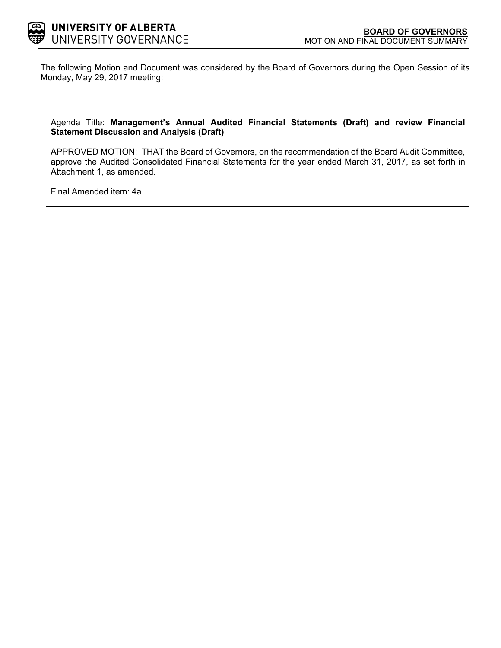

The following Motion and Document was considered by the Board of Governors during the Open Session of its Monday, May 29, 2017 meeting:

#### Agenda Title: **Management's Annual Audited Financial Statements (Draft) and review Financial Statement Discussion and Analysis (Draft)**

APPROVED MOTION: THAT the Board of Governors, on the recommendation of the Board Audit Committee, approve the Audited Consolidated Financial Statements for the year ended March 31, 2017, as set forth in Attachment 1, as amended.

Final Amended item: [4a.](#page-1-0)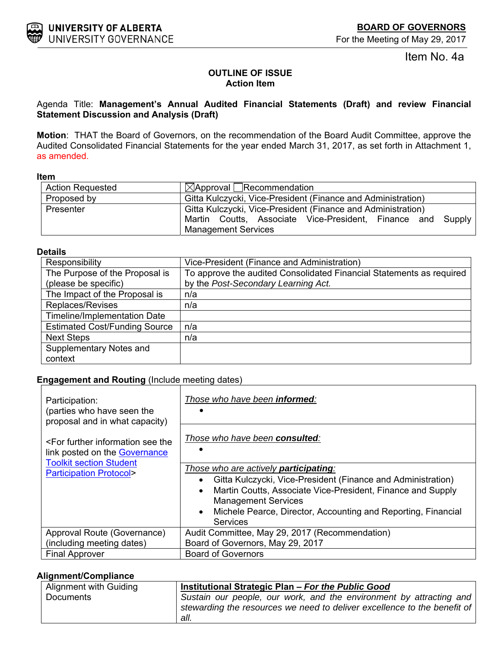For the Meeting of May 29, 2017

Item No. 4a

## **OUTLINE OF ISSUE Action Item**

## <span id="page-1-0"></span>Agenda Title: **Management's Annual Audited Financial Statements (Draft) and review Financial Statement Discussion and Analysis (Draft)**

**Motion**: THAT the Board of Governors, on the recommendation of the Board Audit Committee, approve the Audited Consolidated Financial Statements for the year ended March 31, 2017, as set forth in Attachment 1, as amended.

#### **Item**

| <b>Action Requested</b> | $\boxtimes$ Approval Recommendation                          |  |  |  |  |
|-------------------------|--------------------------------------------------------------|--|--|--|--|
| Proposed by             | Gitta Kulczycki, Vice-President (Finance and Administration) |  |  |  |  |
| Presenter               | Gitta Kulczycki, Vice-President (Finance and Administration) |  |  |  |  |
|                         | Martin Coutts, Associate Vice-President, Finance and Supply  |  |  |  |  |
|                         | <b>Management Services</b>                                   |  |  |  |  |

#### **Details**

| Responsibility                       | Vice-President (Finance and Administration)                          |
|--------------------------------------|----------------------------------------------------------------------|
| The Purpose of the Proposal is       | To approve the audited Consolidated Financial Statements as required |
| (please be specific)                 | by the Post-Secondary Learning Act.                                  |
| The Impact of the Proposal is        | n/a                                                                  |
| Replaces/Revises                     | n/a                                                                  |
| <b>Timeline/Implementation Date</b>  |                                                                      |
| <b>Estimated Cost/Funding Source</b> | n/a                                                                  |
| <b>Next Steps</b>                    | n/a                                                                  |
| Supplementary Notes and              |                                                                      |
| context                              |                                                                      |

## **Engagement and Routing** (Include meeting dates)

| Participation:<br>(parties who have seen the<br>proposal and in what capacity)                                                                               | Those who have been <b>informed</b> :                                                                                                                                                                                                                                                                                         |
|--------------------------------------------------------------------------------------------------------------------------------------------------------------|-------------------------------------------------------------------------------------------------------------------------------------------------------------------------------------------------------------------------------------------------------------------------------------------------------------------------------|
| <for further="" information="" see="" the<br="">link posted on the Governance<br/><b>Toolkit section Student</b><br/><b>Participation Protocol&gt;</b></for> | Those who have been consulted:                                                                                                                                                                                                                                                                                                |
|                                                                                                                                                              | Those who are actively <b>participating</b> :<br>Gitta Kulczycki, Vice-President (Finance and Administration)<br>٠<br>Martin Coutts, Associate Vice-President, Finance and Supply<br>$\bullet$<br><b>Management Services</b><br>Michele Pearce, Director, Accounting and Reporting, Financial<br>$\bullet$<br><b>Services</b> |
| Approval Route (Governance)                                                                                                                                  | Audit Committee, May 29, 2017 (Recommendation)                                                                                                                                                                                                                                                                                |
| (including meeting dates)                                                                                                                                    | Board of Governors, May 29, 2017                                                                                                                                                                                                                                                                                              |
| <b>Final Approver</b>                                                                                                                                        | <b>Board of Governors</b>                                                                                                                                                                                                                                                                                                     |

### **Alignment/Compliance**

| Alignment with Guiding | Institutional Strategic Plan - For the Public Good                       |
|------------------------|--------------------------------------------------------------------------|
| Documents              | Sustain our people, our work, and the environment by attracting and      |
|                        | stewarding the resources we need to deliver excellence to the benefit of |
|                        | all.                                                                     |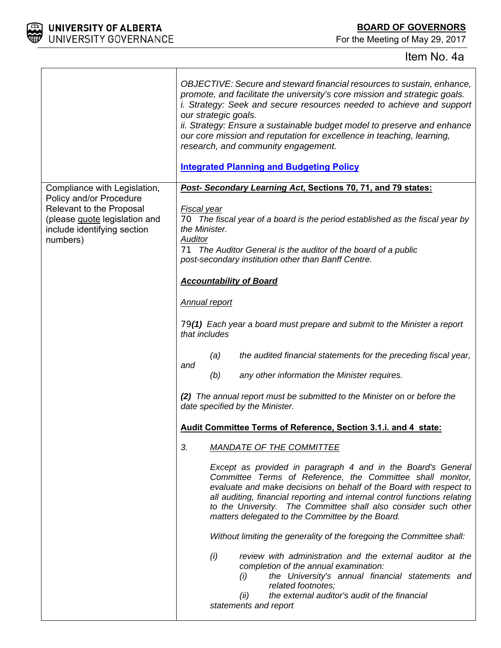

For the Meeting of May 29, 2017

# Item No. 4a

|                                                                                                                                 | OBJECTIVE: Secure and steward financial resources to sustain, enhance,<br>promote, and facilitate the university's core mission and strategic goals.<br><i>i.</i> Strategy: Seek and secure resources needed to achieve and support<br>our strategic goals.<br>ii. Strategy: Ensure a sustainable budget model to preserve and enhance<br>our core mission and reputation for excellence in teaching, learning,<br>research, and community engagement.<br><b>Integrated Planning and Budgeting Policy</b> |
|---------------------------------------------------------------------------------------------------------------------------------|-----------------------------------------------------------------------------------------------------------------------------------------------------------------------------------------------------------------------------------------------------------------------------------------------------------------------------------------------------------------------------------------------------------------------------------------------------------------------------------------------------------|
| Compliance with Legislation,                                                                                                    | Post- Secondary Learning Act, Sections 70, 71, and 79 states:                                                                                                                                                                                                                                                                                                                                                                                                                                             |
| Policy and/or Procedure<br>Relevant to the Proposal<br>(please guote legislation and<br>include identifying section<br>numbers) | Fiscal year<br>70 The fiscal year of a board is the period established as the fiscal year by<br>the Minister.<br>Auditor<br>71 The Auditor General is the auditor of the board of a public<br>post-secondary institution other than Banff Centre.                                                                                                                                                                                                                                                         |
|                                                                                                                                 | <b>Accountability of Board</b>                                                                                                                                                                                                                                                                                                                                                                                                                                                                            |
|                                                                                                                                 |                                                                                                                                                                                                                                                                                                                                                                                                                                                                                                           |
|                                                                                                                                 | Annual report                                                                                                                                                                                                                                                                                                                                                                                                                                                                                             |
|                                                                                                                                 | 79(1) Each year a board must prepare and submit to the Minister a report<br>that includes                                                                                                                                                                                                                                                                                                                                                                                                                 |
|                                                                                                                                 | the audited financial statements for the preceding fiscal year,<br>(a)                                                                                                                                                                                                                                                                                                                                                                                                                                    |
|                                                                                                                                 | and<br>(b)<br>any other information the Minister requires.                                                                                                                                                                                                                                                                                                                                                                                                                                                |
|                                                                                                                                 | (2) The annual report must be submitted to the Minister on or before the<br>date specified by the Minister.                                                                                                                                                                                                                                                                                                                                                                                               |
|                                                                                                                                 | Audit Committee Terms of Reference, Section 3.1.i. and 4 state:                                                                                                                                                                                                                                                                                                                                                                                                                                           |
|                                                                                                                                 | 3.<br><b>MANDATE OF THE COMMITTEE</b>                                                                                                                                                                                                                                                                                                                                                                                                                                                                     |
|                                                                                                                                 | Except as provided in paragraph 4 and in the Board's General<br>Committee Terms of Reference, the Committee shall monitor,<br>evaluate and make decisions on behalf of the Board with respect to<br>all auditing, financial reporting and internal control functions relating<br>to the University. The Committee shall also consider such other<br>matters delegated to the Committee by the Board.                                                                                                      |
|                                                                                                                                 | Without limiting the generality of the foregoing the Committee shall:                                                                                                                                                                                                                                                                                                                                                                                                                                     |
|                                                                                                                                 | (i)<br>review with administration and the external auditor at the<br>completion of the annual examination:<br>(i)<br>the University's annual financial statements and<br>related footnotes;<br>the external auditor's audit of the financial<br>(ii)<br>statements and report                                                                                                                                                                                                                             |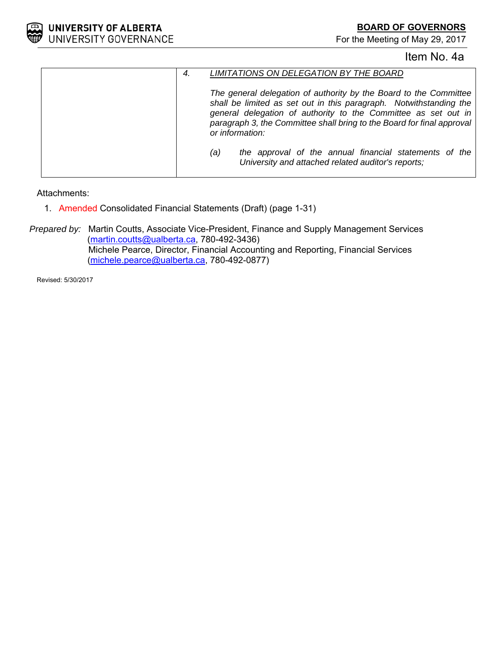

**BOARD OF GOVERNORS**

For the Meeting of May 29, 2017

# Item No. 4a

| LIMITATIONS ON DELEGATION BY THE BOARD<br>4.                                                                                                                                                                                                                                                           |
|--------------------------------------------------------------------------------------------------------------------------------------------------------------------------------------------------------------------------------------------------------------------------------------------------------|
| The general delegation of authority by the Board to the Committee<br>shall be limited as set out in this paragraph. Notwithstanding the<br>general delegation of authority to the Committee as set out in<br>paragraph 3, the Committee shall bring to the Board for final approval<br>or information: |
| the approval of the annual financial statements of the<br>(a)<br>University and attached related auditor's reports;                                                                                                                                                                                    |

Attachments:

1. Amended Consolidated Financial Statements (Draft) (page 1-31)

*Prepared by:* Martin Coutts, Associate Vice-President, Finance and Supply Management Services (martin.coutts@ualberta.ca, 780-492-3436) Michele Pearce, Director, Financial Accounting and Reporting, Financial Services (michele.pearce@ualberta.ca, 780-492-0877)

Revised: 5/30/2017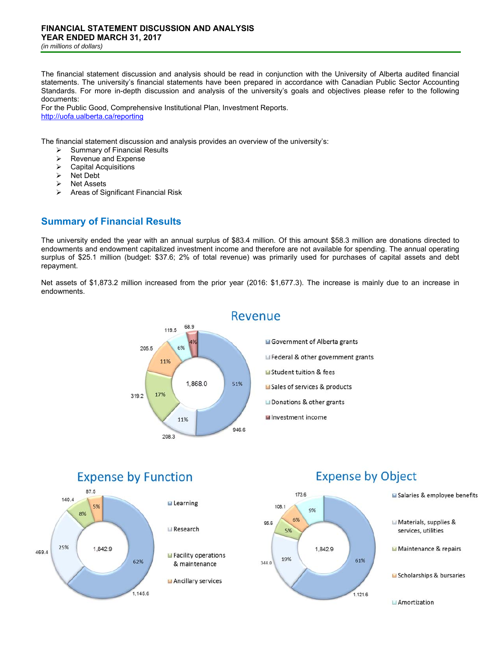The financial statement discussion and analysis should be read in conjunction with the University of Alberta audited financial statements. The university's financial statements have been prepared in accordance with Canadian Public Sector Accounting Standards. For more in-depth discussion and analysis of the university's goals and objectives please refer to the following documents:

For the Public Good, Comprehensive Institutional Plan, Investment Reports. http://uofa.ualberta.ca/reporting

The financial statement discussion and analysis provides an overview of the university's:

- $\geq$  Summary of Financial Results<br>  $\geq$  Revenue and Expense
- Revenue and Expense
- $\triangleright$  Capital Acquisitions
- $\triangleright$  Net Debt
- **▶ Net Assets**
- Areas of Significant Financial Risk

# **Summary of Financial Results**

The university ended the year with an annual surplus of \$83.4 million. Of this amount \$58.3 million are donations directed to endowments and endowment capitalized investment income and therefore are not available for spending. The annual operating surplus of \$25.1 million (budget: \$37.6; 2% of total revenue) was primarily used for purchases of capital assets and debt repayment.

Net assets of \$1,873.2 million increased from the prior year (2016: \$1,677.3). The increase is mainly due to an increase in endowments.



### Revenue

Government of Alberta grants Federal & other government grants Student tuition & fees Sales of services & products Donations & other grants Investment income

#### **Expense by Function** 87.5 140.4 **E** Learning 5% 8% Research 25% 1,842.9 469.4 Facility operations 62% & maintenance Ancillary services 1.145.6



# **Expense by Object**



Materials, supplies &

Maintenance & repairs

services, utilities

Salaries & employee benefits

Amortization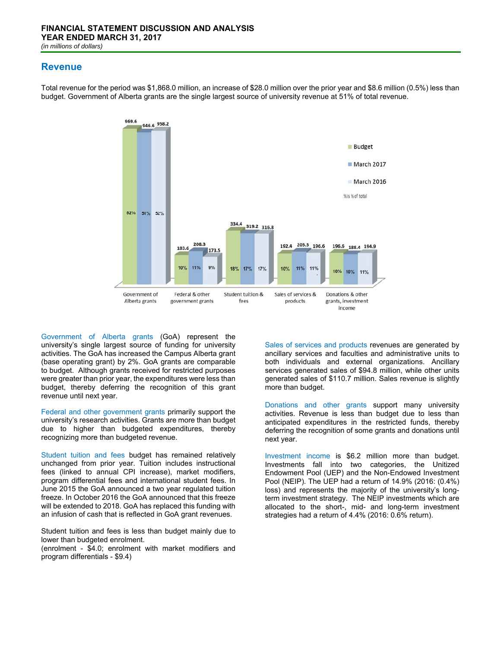#### **Revenue**



Total revenue for the period was \$1,868.0 million, an increase of \$28.0 million over the prior year and \$8.6 million (0.5%) less than budget. Government of Alberta grants are the single largest source of university revenue at 51% of total revenue.

Government of Alberta grants (GoA) represent the university's single largest source of funding for university activities. The GoA has increased the Campus Alberta grant (base operating grant) by 2%. GoA grants are comparable to budget. Although grants received for restricted purposes were greater than prior year, the expenditures were less than budget, thereby deferring the recognition of this grant revenue until next year.

Federal and other government grants primarily support the university's research activities. Grants are more than budget due to higher than budgeted expenditures, thereby recognizing more than budgeted revenue.

Student tuition and fees budget has remained relatively unchanged from prior year. Tuition includes instructional fees (linked to annual CPI increase), market modifiers, program differential fees and international student fees. In June 2015 the GoA announced a two year regulated tuition freeze. In October 2016 the GoA announced that this freeze will be extended to 2018. GoA has replaced this funding with an infusion of cash that is reflected in GoA grant revenues.

Student tuition and fees is less than budget mainly due to lower than budgeted enrolment.

(enrolment - \$4.0; enrolment with market modifiers and program differentials - \$9.4)

Sales of services and products revenues are generated by ancillary services and faculties and administrative units to both individuals and external organizations. Ancillary services generated sales of \$94.8 million, while other units generated sales of \$110.7 million. Sales revenue is slightly more than budget.

Donations and other grants support many university activities. Revenue is less than budget due to less than anticipated expenditures in the restricted funds, thereby deferring the recognition of some grants and donations until next year.

Investment income is \$6.2 million more than budget. Investments fall into two categories, the Unitized Endowment Pool (UEP) and the Non-Endowed Investment Pool (NEIP). The UEP had a return of 14.9% (2016: (0.4%) loss) and represents the majority of the university's longterm investment strategy. The NEIP investments which are allocated to the short-, mid- and long-term investment strategies had a return of 4.4% (2016: 0.6% return).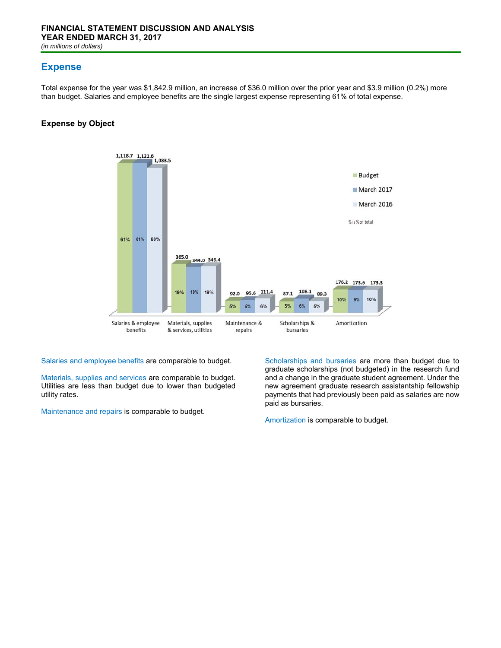## **Expense**

Total expense for the year was \$1,842.9 million, an increase of \$36.0 million over the prior year and \$3.9 million (0.2%) more than budget. Salaries and employee benefits are the single largest expense representing 61% of total expense.

#### **Expense by Object**



Salaries and employee benefits are comparable to budget.

Materials, supplies and services are comparable to budget. Utilities are less than budget due to lower than budgeted utility rates.

Maintenance and repairs is comparable to budget.

Scholarships and bursaries are more than budget due to graduate scholarships (not budgeted) in the research fund and a change in the graduate student agreement. Under the new agreement graduate research assistantship fellowship payments that had previously been paid as salaries are now paid as bursaries.

Amortization is comparable to budget.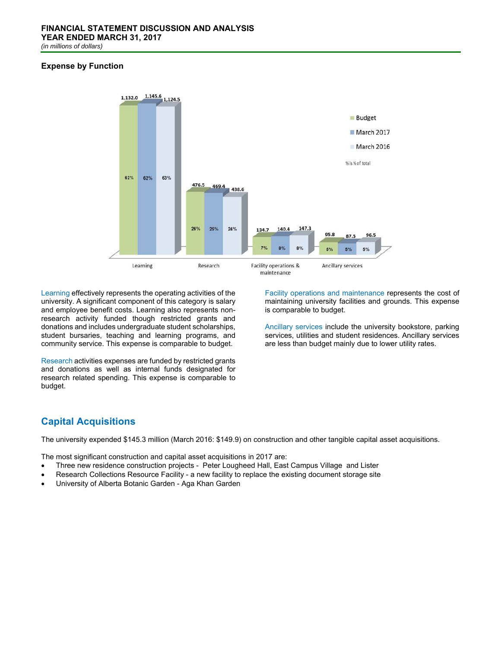#### **Expense by Function**



Learning effectively represents the operating activities of the university. A significant component of this category is salary and employee benefit costs. Learning also represents nonresearch activity funded though restricted grants and donations and includes undergraduate student scholarships, student bursaries, teaching and learning programs, and community service. This expense is comparable to budget.

Research activities expenses are funded by restricted grants and donations as well as internal funds designated for research related spending. This expense is comparable to budget.

Facility operations and maintenance represents the cost of maintaining university facilities and grounds. This expense is comparable to budget.

Ancillary services include the university bookstore, parking services, utilities and student residences. Ancillary services are less than budget mainly due to lower utility rates.

# **Capital Acquisitions**

The university expended \$145.3 million (March 2016: \$149.9) on construction and other tangible capital asset acquisitions.

The most significant construction and capital asset acquisitions in 2017 are:

- Three new residence construction projects Peter Lougheed Hall, East Campus Village and Lister
- Research Collections Resource Facility a new facility to replace the existing document storage site
- University of Alberta Botanic Garden Aga Khan Garden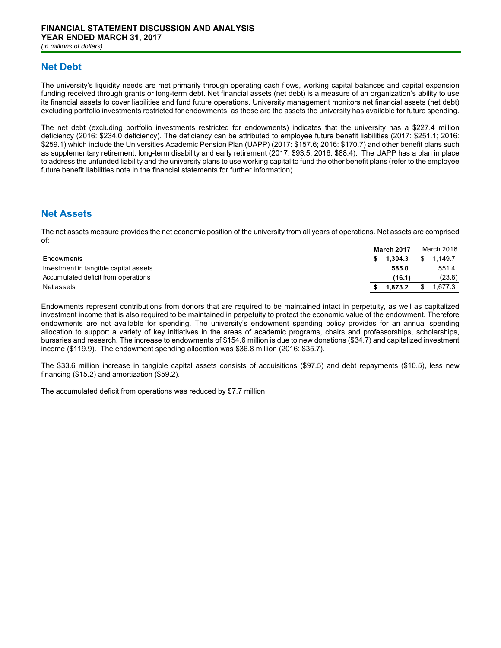## **Net Debt**

The university's liquidity needs are met primarily through operating cash flows, working capital balances and capital expansion funding received through grants or long-term debt. Net financial assets (net debt) is a measure of an organization's ability to use its financial assets to cover liabilities and fund future operations. University management monitors net financial assets (net debt) excluding portfolio investments restricted for endowments, as these are the assets the university has available for future spending.

The net debt (excluding portfolio investments restricted for endowments) indicates that the university has a \$227.4 million deficiency (2016: \$234.0 deficiency). The deficiency can be attributed to employee future benefit liabilities (2017: \$251.1; 2016: \$259.1) which include the Universities Academic Pension Plan (UAPP) (2017: \$157.6; 2016: \$170.7) and other benefit plans such as supplementary retirement, long-term disability and early retirement (2017: \$93.5; 2016: \$88.4). The UAPP has a plan in place to address the unfunded liability and the university plans to use working capital to fund the other benefit plans (refer to the employee future benefit liabilities note in the financial statements for further information).

### **Net Assets**

The net assets measure provides the net economic position of the university from all years of operations. Net assets are comprised of:

|                                       | <b>March 2017</b> |           | March 2016 |         |
|---------------------------------------|-------------------|-----------|------------|---------|
| Endowments                            |                   | \$1.304.3 | \$         | 1.149.7 |
| Investment in tangible capital assets |                   | 585.0     |            | 551.4   |
| Accumulated deficit from operations   |                   | (16.1)    |            | (23.8)  |
| Net assets                            |                   | 1.873.2   |            | .677.3  |

Endowments represent contributions from donors that are required to be maintained intact in perpetuity, as well as capitalized investment income that is also required to be maintained in perpetuity to protect the economic value of the endowment. Therefore endowments are not available for spending. The university's endowment spending policy provides for an annual spending allocation to support a variety of key initiatives in the areas of academic programs, chairs and professorships, scholarships, bursaries and research. The increase to endowments of \$154.6 million is due to new donations (\$34.7) and capitalized investment income (\$119.9). The endowment spending allocation was \$36.8 million (2016: \$35.7).

The \$33.6 million increase in tangible capital assets consists of acquisitions (\$97.5) and debt repayments (\$10.5), less new financing (\$15.2) and amortization (\$59.2).

The accumulated deficit from operations was reduced by \$7.7 million.